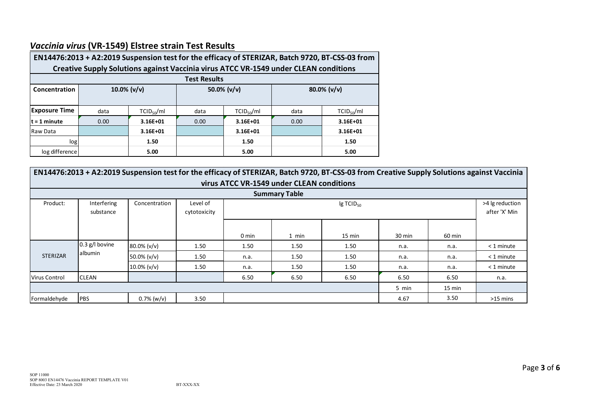

## *Vaccinia virus* **(VR‐1549) Elstree strain Test Results**

| EN14476:2013 + A2:2019 Suspension test for the efficacy of STERIZAR, Batch 9720, BT-CSS-03 from |               |                |      |                        |                |                        |  |  |  |
|-------------------------------------------------------------------------------------------------|---------------|----------------|------|------------------------|----------------|------------------------|--|--|--|
| Creative Supply Solutions against Vaccinia virus ATCC VR-1549 under CLEAN conditions            |               |                |      |                        |                |                        |  |  |  |
| <b>Test Results</b>                                                                             |               |                |      |                        |                |                        |  |  |  |
| Concentration                                                                                   | 10.0% $(v/v)$ |                |      | 50.0% $(v/v)$          | $80.0\%$ (v/v) |                        |  |  |  |
|                                                                                                 |               |                |      |                        |                |                        |  |  |  |
| <b>Exposure Time</b>                                                                            | data          | $TCID_{50}/ml$ | data | TCID <sub>50</sub> /ml | data           | TCID <sub>50</sub> /ml |  |  |  |
| $t = 1$ minute                                                                                  | 0.00          | $3.16E + 01$   | 0.00 | $3.16E + 01$           | 0.00           | 3.16E+01               |  |  |  |
| Raw Data                                                                                        |               | $3.16E + 01$   |      | $3.16E + 01$           |                | 3.16E+01               |  |  |  |
| log                                                                                             |               | 1.50           |      | 1.50                   |                | 1.50                   |  |  |  |
| log difference                                                                                  |               | 5.00           |      | 5.00                   |                | 5.00                   |  |  |  |

| EN14476:2013 + A2:2019 Suspension test for the efficacy of STERIZAR, Batch 9720, BT-CSS-03 from Creative Supply Solutions against Vaccinia<br>virus ATCC VR-1549 under CLEAN conditions |                             |                 |                          |       |                                  |                  |        |        |              |  |
|-----------------------------------------------------------------------------------------------------------------------------------------------------------------------------------------|-----------------------------|-----------------|--------------------------|-------|----------------------------------|------------------|--------|--------|--------------|--|
| <b>Summary Table</b>                                                                                                                                                                    |                             |                 |                          |       |                                  |                  |        |        |              |  |
| Product:                                                                                                                                                                                | Interfering<br>substance    | Concentration   | Level of<br>cytotoxicity |       | >4 lg reduction<br>after 'X' Min |                  |        |        |              |  |
|                                                                                                                                                                                         |                             |                 |                          | 0 min | 1 min                            | $15 \text{ min}$ | 30 min | 60 min |              |  |
| <b>STERIZAR</b>                                                                                                                                                                         | $0.3$ g/l bovine<br>albumin | 80.0% (v/v)     | 1.50                     | 1.50  | 1.50                             | 1.50             | n.a.   | n.a.   | $<$ 1 minute |  |
|                                                                                                                                                                                         |                             | 50.0% ( $v/v$ ) | 1.50                     | n.a.  | 1.50                             | 1.50             | n.a.   | n.a.   | $<$ 1 minute |  |
|                                                                                                                                                                                         |                             | $10.0\%$ (v/v)  | 1.50                     | n.a.  | 1.50                             | 1.50             | n.a.   | n.a.   | $<$ 1 minute |  |
| Virus Control                                                                                                                                                                           | <b>CLEAN</b>                |                 |                          | 6.50  | 6.50                             | 6.50             | 6.50   | 6.50   | n.a.         |  |
| 15 min<br>5 min                                                                                                                                                                         |                             |                 |                          |       |                                  |                  |        |        |              |  |
| Formaldehyde                                                                                                                                                                            | <b>PBS</b>                  | $0.7\%$ (w/v)   | 3.50                     |       |                                  |                  | 4.67   | 3.50   | $>15$ mins   |  |

BT-XXX-XX

Page **3** of **6**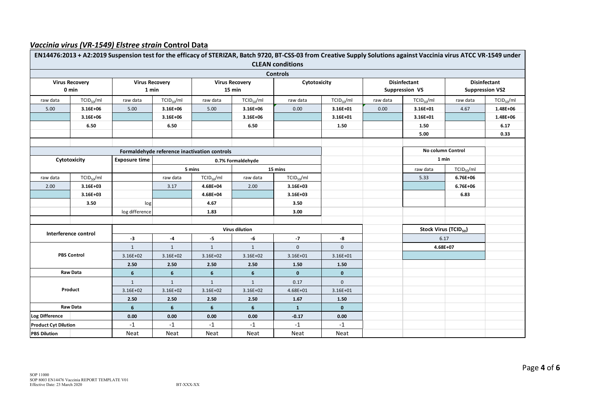

#### *Vaccinia virus (VR‐1549) Elstree strain* **Control Data**

|                             |                        |                                |                        |                                              |                        | EN14476:2013 + A2:2019 Suspension test for the efficacy of STERIZAR, Batch 9720, BT-CSS-03 from Creative Supply Solutions against Vaccinia virus ATCC VR-1549 under |                |                     |                                   |                        |                        |
|-----------------------------|------------------------|--------------------------------|------------------------|----------------------------------------------|------------------------|---------------------------------------------------------------------------------------------------------------------------------------------------------------------|----------------|---------------------|-----------------------------------|------------------------|------------------------|
| <b>CLEAN conditions</b>     |                        |                                |                        |                                              |                        |                                                                                                                                                                     |                |                     |                                   |                        |                        |
| <b>Controls</b>             |                        |                                |                        |                                              |                        |                                                                                                                                                                     |                |                     |                                   |                        |                        |
| <b>Virus Recovery</b>       |                        | <b>Virus Recovery</b><br>1 min |                        | <b>Virus Recovery</b>                        |                        | Cytotoxicity                                                                                                                                                        |                | <b>Disinfectant</b> |                                   | <b>Disinfectant</b>    |                        |
| 0 min                       |                        |                                |                        | 15 min                                       |                        |                                                                                                                                                                     |                | Suppression VS      |                                   | <b>Suppression VS2</b> |                        |
| raw data                    | $TCID_{50}/ml$         | raw data                       | TCID <sub>50</sub> /ml | raw data                                     | TCID <sub>50</sub> /ml | raw data                                                                                                                                                            | $TCID_{50}/ml$ | raw data            | TCID <sub>50</sub> /ml            | raw data               | TCID <sub>50</sub> /ml |
| 5.00                        | 3.16E+06               | 5.00                           | 3.16E+06               | 5.00                                         | 3.16E+06               | 0.00                                                                                                                                                                | 3.16E+01       | 0.00                | 3.16E+01                          | 4.67                   | 1.48E+06               |
|                             | 3.16E+06               |                                | 3.16E+06               |                                              | 3.16E+06               |                                                                                                                                                                     | 3.16E+01       |                     | 3.16E+01                          |                        | 1.48E+06               |
|                             | 6.50                   |                                | 6.50                   |                                              | 6.50                   |                                                                                                                                                                     | 1.50           |                     | 1.50                              |                        | 6.17                   |
|                             |                        |                                |                        |                                              |                        |                                                                                                                                                                     |                |                     | 5.00                              |                        | 0.33                   |
|                             |                        |                                |                        |                                              |                        |                                                                                                                                                                     |                |                     |                                   |                        |                        |
|                             |                        | <b>Exposure time</b>           |                        | Formaldehyde reference inactivation controls |                        |                                                                                                                                                                     |                |                     | No column Control                 |                        |                        |
|                             | Cytotoxicity           |                                |                        | 0.7% Formaldehyde                            |                        |                                                                                                                                                                     |                |                     | 1 min                             |                        |                        |
|                             |                        |                                |                        | 5 mins                                       |                        | 15 mins                                                                                                                                                             |                |                     | raw data                          | TCID <sub>50</sub> /ml |                        |
| raw data                    | TCID <sub>50</sub> /ml |                                | raw data               | TCID <sub>50</sub> /ml                       | raw data               | $TCID_{50}/ml$                                                                                                                                                      |                |                     | 5.33                              | 6.76E+06               |                        |
| 2.00                        | $3.16E + 03$           |                                | 3.17                   | 4.68E+04                                     | 2.00                   | $3.16E + 03$                                                                                                                                                        |                |                     |                                   | 6.76E+06               |                        |
|                             | $3.16E + 03$           |                                |                        | 4.68E+04                                     |                        | $3.16E + 03$                                                                                                                                                        |                |                     |                                   | 6.83                   |                        |
|                             | 3.50                   | log                            |                        | 4.67                                         |                        | 3.50                                                                                                                                                                |                |                     |                                   |                        |                        |
|                             |                        | log difference                 |                        | 1.83                                         |                        | 3.00                                                                                                                                                                |                |                     |                                   |                        |                        |
|                             |                        |                                |                        |                                              |                        |                                                                                                                                                                     |                |                     |                                   |                        |                        |
|                             | Interference control   |                                | <b>Virus dilution</b>  |                                              |                        |                                                                                                                                                                     |                |                     | Stock Virus (TCID <sub>50</sub> ) |                        |                        |
|                             |                        | $-3$                           | $\textbf{-4}$          | $-5$                                         | -6                     | $-7$                                                                                                                                                                | -8             |                     | 6.17                              |                        |                        |
|                             |                        | $1\,$                          | $\mathbf 1$            | $\mathbf 1$                                  | $\mathbf 1$            | $\mathbf 0$                                                                                                                                                         | $\mathbf{0}$   |                     | 4.68E+07                          |                        |                        |
|                             | <b>PBS Control</b>     |                                | $3.16E + 02$           | 3.16E+02                                     | $3.16E + 02$           | $3.16E + 01$                                                                                                                                                        | $3.16E + 01$   |                     |                                   |                        |                        |
|                             |                        | 2.50                           | 2.50                   | 2.50                                         | 2.50                   | 1.50                                                                                                                                                                | 1.50           |                     |                                   |                        |                        |
|                             | <b>Raw Data</b>        |                                | 6                      | 6                                            | $6\phantom{1}$         | $\mathbf{0}$                                                                                                                                                        | $\mathbf{0}$   |                     |                                   |                        |                        |
| Product                     |                        | $1\,$                          | $1\,$                  | $\mathbf{1}$                                 | $\mathbf{1}$           | 0.17                                                                                                                                                                | $\mathbf 0$    |                     |                                   |                        |                        |
|                             |                        | 3.16E+02                       | $3.16E + 02$           | 3.16E+02                                     | $3.16E + 02$           | 4.68E+01                                                                                                                                                            | 3.16E+01       |                     |                                   |                        |                        |
|                             |                        | 2.50                           | 2.50                   | 2.50                                         | 2.50                   | 1.67                                                                                                                                                                | 1.50           |                     |                                   |                        |                        |
| <b>Raw Data</b>             |                        | 6                              | 6                      | 6                                            | 6                      | $\mathbf{1}$                                                                                                                                                        | $\mathbf{0}$   |                     |                                   |                        |                        |
| <b>Log Difference</b>       |                        | 0.00                           | 0.00                   | 0.00                                         | 0.00                   | $-0.17$                                                                                                                                                             | 0.00           |                     |                                   |                        |                        |
| <b>Product Cyt Dilution</b> |                        | $-1$                           | $-1$                   | $-1$                                         | $-1$                   | $-1$                                                                                                                                                                | $-1$           |                     |                                   |                        |                        |
| <b>PBS Dilution</b>         |                        | Neat                           | Neat                   | Neat                                         | Neat                   | Neat                                                                                                                                                                | Neat           |                     |                                   |                        |                        |

BT-XXX-XX

Page **4** of **6**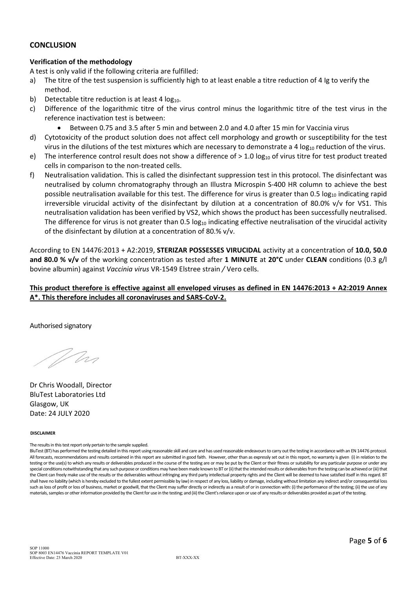

#### **CONCLUSION**

### **Verification of the methodology**

A test is only valid if the following criteria are fulfilled:

- a) The titre of the test suspension is sufficiently high to at least enable a titre reduction of 4 Ig to verify the method.
- b) Detectable titre reduction is at least 4  $log_{10}$ .
- c) Difference of the logarithmic titre of the virus control minus the logarithmic titre of the test virus in the reference inactivation test is between:
	- Between 0.75 and 3.5 after 5 min and between 2.0 and 4.0 after 15 min for Vaccinia virus
- d) Cytotoxicity of the product solution does not affect cell morphology and growth or susceptibility for the test virus in the dilutions of the test mixtures which are necessary to demonstrate a 4  $log<sub>10</sub>$  reduction of the virus.
- e) The interference control result does not show a difference of  $> 1.0$  log<sub>10</sub> of virus titre for test product treated cells in comparison to the non-treated cells.
- f) Neutralisation validation. This is called the disinfectant suppression test in this protocol. The disinfectant was neutralised by column chromatography through an Illustra Microspin S‐400 HR column to achieve the best possible neutralisation available for this test. The difference for virus is greater than 0.5 log<sub>10</sub> indicating rapid irreversible virucidal activity of the disinfectant by dilution at a concentration of 80.0% v/v for VS1. This neutralisation validation has been verified by VS2, which shows the product has been successfully neutralised. The difference for virus is not greater than 0.5  $log_{10}$  indicating effective neutralisation of the virucidal activity of the disinfectant by dilution at a concentration of 80.% v/v.

According to EN 14476:2013 + A2:2019, **STERIZAR POSSESSES VIRUCIDAL** activity at a concentration of **10.0, 50.0 and 80.0 % v/v** of the working concentration as tested after **1 MINUTE** at **20°C** under **CLEAN** conditions (0.3 g/l bovine albumin) against *Vaccinia virus* VR‐1549 Elstree strain */* Vero cells.

This product therefore is effective against all enveloped viruses as defined in EN 14476:2013 + A2:2019 Annex **A\*. This therefore includes all coronaviruses and SARS‐CoV‐2.**

Authorised signatory

Wan

Dr Chris Woodall, Director BluTest Laboratories Ltd Glasgow, UK Date: 24 JULY 2020

#### **DISCLAIMER**

The results in this test report only pertain to the sample supplied.

BluTest (BT) has performed the testing detailed in this report using reasonable skill and care and has used reasonable endeavours to carry out the testing in accordance with an EN 14476 protocol. All forecasts, recommendations and results contained in this report are submitted in good faith. However, other than as expressly set out in this report, no warranty is given (i) in relation to the testing or the use(s) to which any results or deliverables produced in the course of the testing are or may be put by the Client or their fitness or suitability for any particular purpose or under any special conditions notwithstanding that any such purpose or conditions may have been made known to BT or (ii) that the intended results or deliverables from the testing can be achieved or (iii) that the Client can freely make use of the results or the deliverables without infringing any third party intellectual property rights and the Client will be deemed to have satisfied itself in thisregard. BT shall have no liability (which is hereby excluded to the fullest extent permissible by law) in respect of any loss, liability or damage, including without limitation any indirect and/or consequential loss such as loss of profit or loss of business, market or goodwill, that the Client may suffer directly or indirectly as a result of or in connection with: (i) the performance of the testing; (ii) the use of any materials, samples or other information provided by the Client for use in the testing; and (iii) the Client's reliance upon or use of any results or deliverables provided as part of the testing.

SOP 11000 SOP 8003 EN14476 Vaccinia REPORT TEMPLATE V01 Effective Date: 23 March 2020<br>BT-XXX-XX

Page **5** of **6**